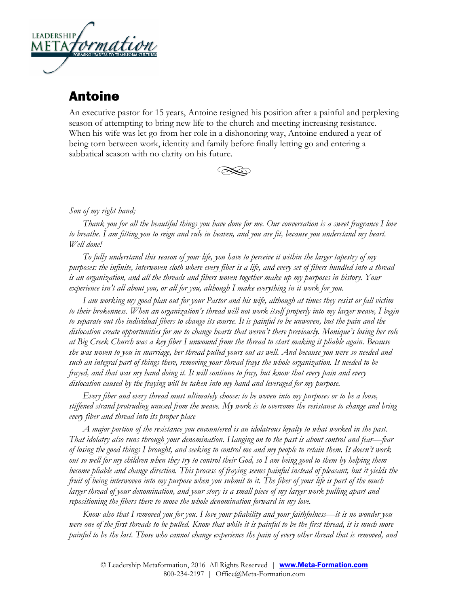

## Antoine

An executive pastor for 15 years, Antoine resigned his position after a painful and perplexing season of attempting to bring new life to the church and meeting increasing resistance. When his wife was let go from her role in a dishonoring way, Antoine endured a year of being torn between work, identity and family before finally letting go and entering a sabbatical season with no clarity on his future.



## *Son of my right hand;*

*Thank you for all the beautiful things you have done for me. Our conversation is a sweet fragrance I love to breathe. I am fitting you to reign and rule in heaven, and you are fit, because you understand my heart. Well done!*

*To fully understand this season of your life, you have to perceive it within the larger tapestry of my purposes: the infinite, interwoven cloth where every fiber is a life, and every set of fibers bundled into a thread is an organization, and all the threads and fibers woven together make up my purposes in history. Your experience isn't all about you, or all for you, although I make everything in it work for you.* 

*I am working my good plan out for your Pastor and his wife, although at times they resist or fall victim to their brokenness. When an organization's thread will not work itself properly into my larger weave, I begin to separate out the individual fibers to change its course. It is painful to be unwoven, but the pain and the dislocation create opportunities for me to change hearts that weren't there previously. Monique's losing her role at Big Creek Church was a key fiber I unwound from the thread to start making it pliable again. Because she was woven to you in marriage, her thread pulled yours out as well. And because you were so needed and such an integral part of things there, removing your thread frays the whole organization. It needed to be frayed, and that was my hand doing it. It will continue to fray, but know that every pain and every dislocation caused by the fraying will be taken into my hand and leveraged for my purpose.* 

*Every fiber and every thread must ultimately choose: to be woven into my purposes or to be a loose, stiffened strand protruding unused from the weave. My work is to overcome the resistance to change and bring every fiber and thread into its proper place*

*A major portion of the resistance you encountered is an idolatrous loyalty to what worked in the past. That idolatry also runs through your denomination. Hanging on to the past is about control and fear—fear of losing the good things I brought, and seeking to control me and my people to retain them. It doesn't work out so well for my children when they try to control their God, so I am being good to them by helping them become pliable and change direction. This process of fraying seems painful instead of pleasant, but it yields the fruit of being interwoven into my purpose when you submit to it. The fiber of your life is part of the much larger thread of your denomination, and your story is a small piece of my larger work pulling apart and repositioning the fibers there to move the whole denomination forward in my love.*

*Know also that I removed you for you. I love your pliability and your faithfulness—it is no wonder you*  were one of the first threads to be pulled. Know that while it is painful to be the first thread, it is much more *painful to be the last. Those who cannot change experience the pain of every other thread that is removed, and*